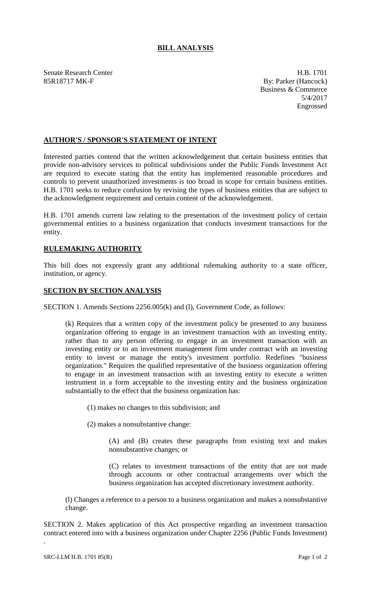## **BILL ANALYSIS**

Senate Research Center **H.B. 1701** 85R18717 MK-F By: Parker (Hancock)

Business & Commerce 5/4/2017 Engrossed

## **AUTHOR'S / SPONSOR'S STATEMENT OF INTENT**

Interested parties contend that the written acknowledgement that certain business entities that provide non-advisory services to political subdivisions under the Public Funds Investment Act are required to execute stating that the entity has implemented reasonable procedures and controls to prevent unauthorized investments is too broad in scope for certain business entities. H.B. 1701 seeks to reduce confusion by revising the types of business entities that are subject to the acknowledgment requirement and certain content of the acknowledgement.

H.B. 1701 amends current law relating to the presentation of the investment policy of certain governmental entities to a business organization that conducts investment transactions for the entity.

## **RULEMAKING AUTHORITY**

This bill does not expressly grant any additional rulemaking authority to a state officer, institution, or agency.

## **SECTION BY SECTION ANALYSIS**

SECTION 1. Amends Sections 2256.005(k) and (l), Government Code, as follows:

(k) Requires that a written copy of the investment policy be presented to any business organization offering to engage in an investment transaction with an investing entity, rather than to any person offering to engage in an investment transaction with an investing entity or to an investment management firm under contract with an investing entity to invest or manage the entity's investment portfolio. Redefines "business organization." Requires the qualified representative of the business organization offering to engage in an investment transaction with an investing entity to execute a written instrument in a form acceptable to the investing entity and the business organization substantially to the effect that the business organization has:

(1) makes no changes to this subdivision; and

(2) makes a nonsubstantive change:

(A) and (B) creates these paragraphs from existing text and makes nonsubstantive changes; or

(C) relates to investment transactions of the entity that are not made through accounts or other contractual arrangements over which the business organization has accepted discretionary investment authority.

(l) Changes a reference to a person to a business organization and makes a nonsubstantive change.

SECTION 2. Makes application of this Act prospective regarding an investment transaction contract entered into with a business organization under Chapter 2256 (Public Funds Investment)

.